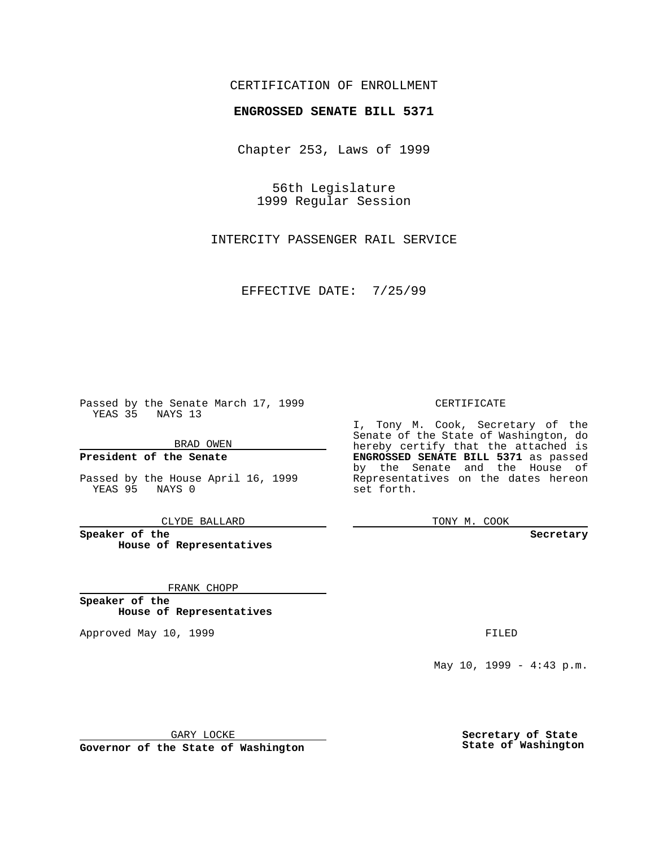### CERTIFICATION OF ENROLLMENT

# **ENGROSSED SENATE BILL 5371**

Chapter 253, Laws of 1999

56th Legislature 1999 Regular Session

INTERCITY PASSENGER RAIL SERVICE

EFFECTIVE DATE: 7/25/99

Passed by the Senate March 17, 1999 YEAS 35 NAYS 13

BRAD OWEN

**President of the Senate**

Passed by the House April 16, 1999 YEAS 95 NAYS 0

CLYDE BALLARD

**Speaker of the House of Representatives**

FRANK CHOPP

**Speaker of the House of Representatives**

Approved May 10, 1999 **FILED** 

### CERTIFICATE

I, Tony M. Cook, Secretary of the Senate of the State of Washington, do hereby certify that the attached is **ENGROSSED SENATE BILL 5371** as passed by the Senate and the House of Representatives on the dates hereon set forth.

TONY M. COOK

#### **Secretary**

May 10, 1999 - 4:43 p.m.

GARY LOCKE

**Governor of the State of Washington**

**Secretary of State State of Washington**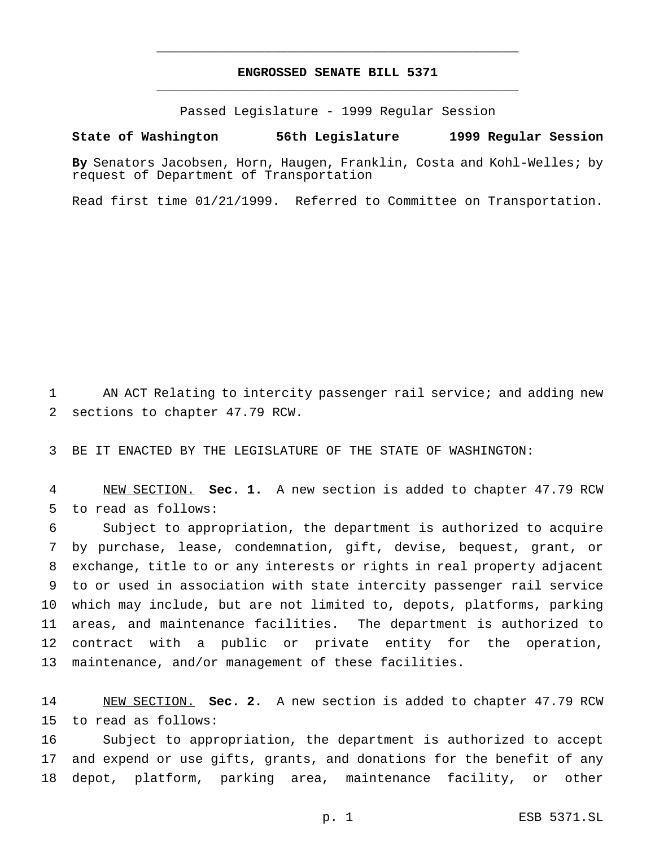## **ENGROSSED SENATE BILL 5371** \_\_\_\_\_\_\_\_\_\_\_\_\_\_\_\_\_\_\_\_\_\_\_\_\_\_\_\_\_\_\_\_\_\_\_\_\_\_\_\_\_\_\_\_\_\_\_

\_\_\_\_\_\_\_\_\_\_\_\_\_\_\_\_\_\_\_\_\_\_\_\_\_\_\_\_\_\_\_\_\_\_\_\_\_\_\_\_\_\_\_\_\_\_\_

Passed Legislature - 1999 Regular Session

#### **State of Washington 56th Legislature 1999 Regular Session**

**By** Senators Jacobsen, Horn, Haugen, Franklin, Costa and Kohl-Welles; by request of Department of Transportation

Read first time 01/21/1999. Referred to Committee on Transportation.

 AN ACT Relating to intercity passenger rail service; and adding new sections to chapter 47.79 RCW.

BE IT ENACTED BY THE LEGISLATURE OF THE STATE OF WASHINGTON:

 NEW SECTION. **Sec. 1.** A new section is added to chapter 47.79 RCW to read as follows:

 Subject to appropriation, the department is authorized to acquire by purchase, lease, condemnation, gift, devise, bequest, grant, or exchange, title to or any interests or rights in real property adjacent to or used in association with state intercity passenger rail service which may include, but are not limited to, depots, platforms, parking areas, and maintenance facilities. The department is authorized to contract with a public or private entity for the operation, maintenance, and/or management of these facilities.

 NEW SECTION. **Sec. 2.** A new section is added to chapter 47.79 RCW to read as follows:

 Subject to appropriation, the department is authorized to accept and expend or use gifts, grants, and donations for the benefit of any depot, platform, parking area, maintenance facility, or other